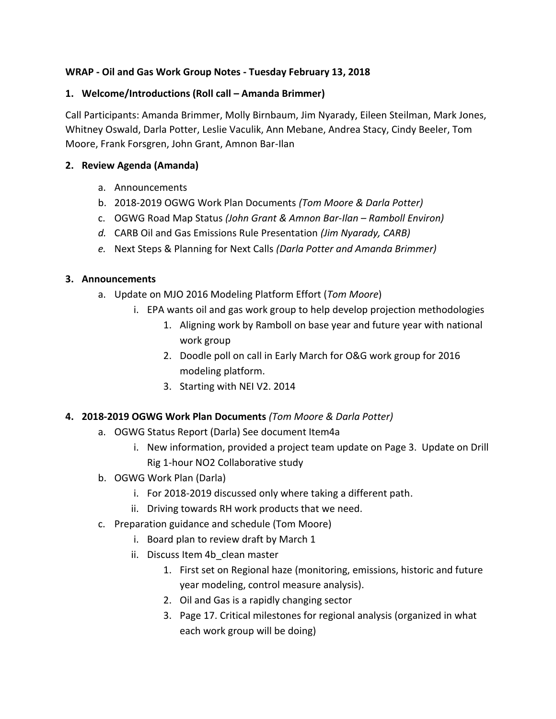## **WRAP - Oil and Gas Work Group Notes - Tuesday February 13, 2018**

### **1. Welcome/Introductions (Roll call – Amanda Brimmer)**

Call Participants: Amanda Brimmer, Molly Birnbaum, Jim Nyarady, Eileen Steilman, Mark Jones, Whitney Oswald, Darla Potter, Leslie Vaculik, Ann Mebane, Andrea Stacy, Cindy Beeler, Tom Moore, Frank Forsgren, John Grant, Amnon Bar-Ilan

#### **2. Review Agenda (Amanda)**

- a. Announcements
- b. 2018-2019 OGWG Work Plan Documents *(Tom Moore & Darla Potter)*
- c. OGWG Road Map Status *(John Grant & Amnon Bar-Ilan – Ramboll Environ)*
- *d.* CARB Oil and Gas Emissions Rule Presentation *(Jim Nyarady, CARB)*
- *e.* Next Steps & Planning for Next Calls *(Darla Potter and Amanda Brimmer)*

## **3. Announcements**

- a. Update on MJO 2016 Modeling Platform Effort (*Tom Moore*)
	- i. EPA wants oil and gas work group to help develop projection methodologies
		- 1. Aligning work by Ramboll on base year and future year with national work group
		- 2. Doodle poll on call in Early March for O&G work group for 2016 modeling platform.
		- 3. Starting with NEI V2. 2014

# **4. 2018-2019 OGWG Work Plan Documents** *(Tom Moore & Darla Potter)*

- a. OGWG Status Report (Darla) See document Item4a
	- i. New information, provided a project team update on Page 3. Update on Drill Rig 1-hour NO2 Collaborative study
- b. OGWG Work Plan (Darla)
	- i. For 2018-2019 discussed only where taking a different path.
	- ii. Driving towards RH work products that we need.
- c. Preparation guidance and schedule (Tom Moore)
	- i. Board plan to review draft by March 1
	- ii. Discuss Item 4b clean master
		- 1. First set on Regional haze (monitoring, emissions, historic and future year modeling, control measure analysis).
		- 2. Oil and Gas is a rapidly changing sector
		- 3. Page 17. Critical milestones for regional analysis (organized in what each work group will be doing)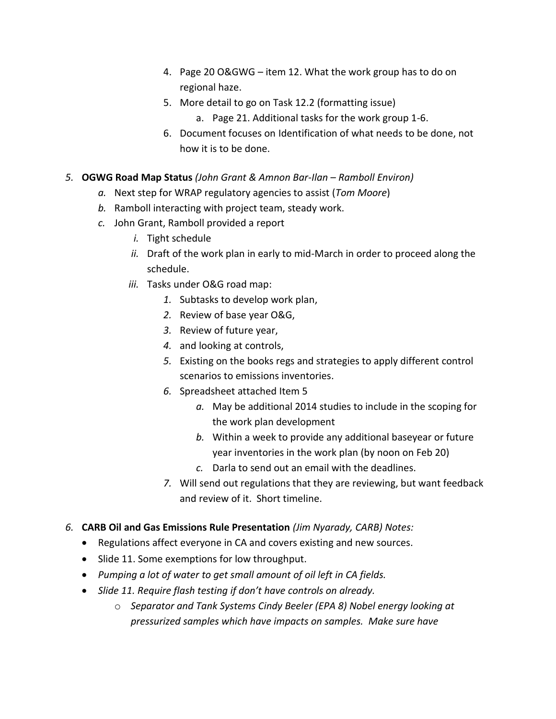- 4. Page 20 O&GWG item 12. What the work group has to do on regional haze.
- 5. More detail to go on Task 12.2 (formatting issue)
	- a. Page 21. Additional tasks for the work group 1-6.
- 6. Document focuses on Identification of what needs to be done, not how it is to be done.
- *5.* **OGWG Road Map Status** *(John Grant & Amnon Bar-Ilan – Ramboll Environ)*
	- *a.* Next step for WRAP regulatory agencies to assist (*Tom Moore*)
	- *b.* Ramboll interacting with project team, steady work.
	- *c.* John Grant, Ramboll provided a report
		- *i.* Tight schedule
		- *ii.* Draft of the work plan in early to mid-March in order to proceed along the schedule.
		- *iii.* Tasks under O&G road map:
			- *1.* Subtasks to develop work plan,
			- *2.* Review of base year O&G,
			- *3.* Review of future year,
			- *4.* and looking at controls,
			- *5.* Existing on the books regs and strategies to apply different control scenarios to emissions inventories.
			- *6.* Spreadsheet attached Item 5
				- *a.* May be additional 2014 studies to include in the scoping for the work plan development
				- *b.* Within a week to provide any additional baseyear or future year inventories in the work plan (by noon on Feb 20)
				- *c.* Darla to send out an email with the deadlines.
			- *7.* Will send out regulations that they are reviewing, but want feedback and review of it. Short timeline.
- *6.* **CARB Oil and Gas Emissions Rule Presentation** *(Jim Nyarady, CARB) Notes:*
	- Regulations affect everyone in CA and covers existing and new sources.
	- Slide 11. Some exemptions for low throughput.
	- *Pumping a lot of water to get small amount of oil left in CA fields.*
	- *Slide 11. Require flash testing if don't have controls on already.*
		- o *Separator and Tank Systems Cindy Beeler (EPA 8) Nobel energy looking at pressurized samples which have impacts on samples. Make sure have*